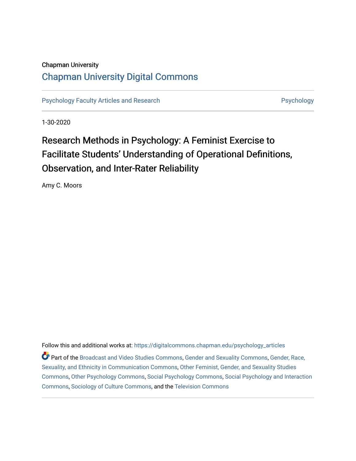# Chapman University

# [Chapman University Digital Commons](https://digitalcommons.chapman.edu/)

[Psychology Faculty Articles and Research](https://digitalcommons.chapman.edu/psychology_articles) **Psychology** Psychology

1-30-2020

# Research Methods in Psychology: A Feminist Exercise to Facilitate Students' Understanding of Operational Definitions, Observation, and Inter-Rater Reliability

Amy C. Moors

Follow this and additional works at: [https://digitalcommons.chapman.edu/psychology\\_articles](https://digitalcommons.chapman.edu/psychology_articles?utm_source=digitalcommons.chapman.edu%2Fpsychology_articles%2F203&utm_medium=PDF&utm_campaign=PDFCoverPages)

Part of the [Broadcast and Video Studies Commons,](http://network.bepress.com/hgg/discipline/326?utm_source=digitalcommons.chapman.edu%2Fpsychology_articles%2F203&utm_medium=PDF&utm_campaign=PDFCoverPages) [Gender and Sexuality Commons](http://network.bepress.com/hgg/discipline/420?utm_source=digitalcommons.chapman.edu%2Fpsychology_articles%2F203&utm_medium=PDF&utm_campaign=PDFCoverPages), [Gender, Race,](http://network.bepress.com/hgg/discipline/329?utm_source=digitalcommons.chapman.edu%2Fpsychology_articles%2F203&utm_medium=PDF&utm_campaign=PDFCoverPages)  [Sexuality, and Ethnicity in Communication Commons](http://network.bepress.com/hgg/discipline/329?utm_source=digitalcommons.chapman.edu%2Fpsychology_articles%2F203&utm_medium=PDF&utm_campaign=PDFCoverPages), [Other Feminist, Gender, and Sexuality Studies](http://network.bepress.com/hgg/discipline/562?utm_source=digitalcommons.chapman.edu%2Fpsychology_articles%2F203&utm_medium=PDF&utm_campaign=PDFCoverPages)  [Commons](http://network.bepress.com/hgg/discipline/562?utm_source=digitalcommons.chapman.edu%2Fpsychology_articles%2F203&utm_medium=PDF&utm_campaign=PDFCoverPages), [Other Psychology Commons](http://network.bepress.com/hgg/discipline/415?utm_source=digitalcommons.chapman.edu%2Fpsychology_articles%2F203&utm_medium=PDF&utm_campaign=PDFCoverPages), [Social Psychology Commons,](http://network.bepress.com/hgg/discipline/414?utm_source=digitalcommons.chapman.edu%2Fpsychology_articles%2F203&utm_medium=PDF&utm_campaign=PDFCoverPages) [Social Psychology and Interaction](http://network.bepress.com/hgg/discipline/430?utm_source=digitalcommons.chapman.edu%2Fpsychology_articles%2F203&utm_medium=PDF&utm_campaign=PDFCoverPages)  [Commons](http://network.bepress.com/hgg/discipline/430?utm_source=digitalcommons.chapman.edu%2Fpsychology_articles%2F203&utm_medium=PDF&utm_campaign=PDFCoverPages), [Sociology of Culture Commons,](http://network.bepress.com/hgg/discipline/431?utm_source=digitalcommons.chapman.edu%2Fpsychology_articles%2F203&utm_medium=PDF&utm_campaign=PDFCoverPages) and the [Television Commons](http://network.bepress.com/hgg/discipline/1143?utm_source=digitalcommons.chapman.edu%2Fpsychology_articles%2F203&utm_medium=PDF&utm_campaign=PDFCoverPages)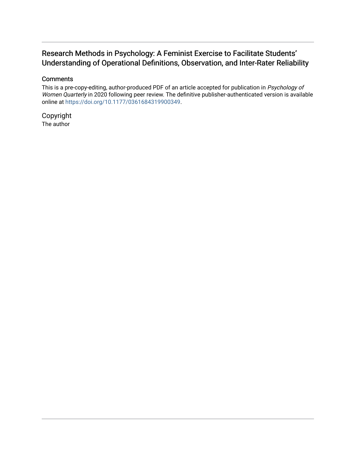# Research Methods in Psychology: A Feminist Exercise to Facilitate Students' Understanding of Operational Definitions, Observation, and Inter-Rater Reliability

# **Comments**

This is a pre-copy-editing, author-produced PDF of an article accepted for publication in Psychology of Women Quarterly in 2020 following peer review. The definitive publisher-authenticated version is available online at <https://doi.org/10.1177/0361684319900349>.

Copyright The author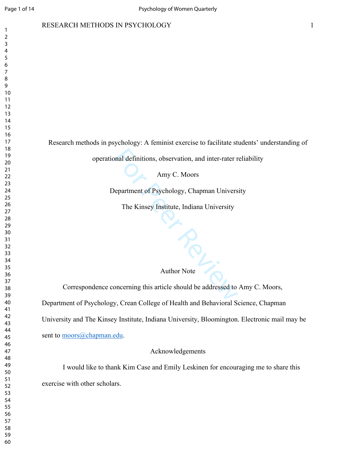#### RESEARCH METHODS IN PSYCHOLOGY

Research methods in psychology: A feminist exercise to facilitate students' understanding of

operational definitions, observation, and inter-rater reliability

Amy C. Moors

Department of Psychology, Chapman University

The Kinsey Institute, Indiana University

## Author Note

Amy C. Moors<br>
epartment of Psychology, Chapman Univers<br>
The Kinsey Institute, Indiana University<br>
The Kinsey Institute, Indiana University<br>
Author Note<br>
December 2012 of Health and Pobenicular S Correspondence concerning this article should be addressed to Amy C. Moors, Department of Psychology, Crean College of Health and Behavioral Science, Chapman University and The Kinsey Institute, Indiana University, Bloomington. Electronic mail may be sent to moors@chapman.edu.

Acknowledgements

I would like to thank Kim Case and Emily Leskinen for encouraging me to share this exercise with other scholars.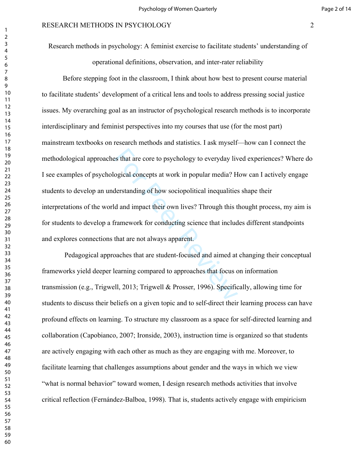Research methods in psychology: A feminist exercise to facilitate students' understanding of operational definitions, observation, and inter-rater reliability

es that are core to psychology to everyday lived<br>ogical concepts at work in popular media? Henderstanding of how sociopolitical inequalities<br>d and impact their own lives? Through this to<br>immework for conducting science tha Before stepping foot in the classroom, I think about how best to present course material to facilitate students' development of a critical lens and tools to address pressing social justice issues. My overarching goal as an instructor of psychological research methods is to incorporate interdisciplinary and feminist perspectives into my courses that use (for the most part) mainstream textbooks on research methods and statistics. I ask myself—how can I connect the methodological approaches that are core to psychology to everyday lived experiences? Where do I see examples of psychological concepts at work in popular media? How can I actively engage students to develop an understanding of how sociopolitical inequalities shape their interpretations of the world and impact their own lives? Through this thought process, my aim is for students to develop a framework for conducting science that includes different standpoints and explores connections that are not always apparent.

 Pedagogical approaches that are student-focused and aimed at changing their conceptual frameworks yield deeper learning compared to approaches that focus on information transmission (e.g., Trigwell, 2013; Trigwell & Prosser, 1996). Specifically, allowing time for students to discuss their beliefs on a given topic and to self-direct their learning process can have profound effects on learning. To structure my classroom as a space for self-directed learning and collaboration (Capobianco, 2007; Ironside, 2003), instruction time is organized so that students are actively engaging with each other as much as they are engaging with me. Moreover, to facilitate learning that challenges assumptions about gender and the ways in which we view "what is normal behavior" toward women, I design research methods activities that involve critical reflection (Fernández-Balboa, 1998). That is, students actively engage with empiricism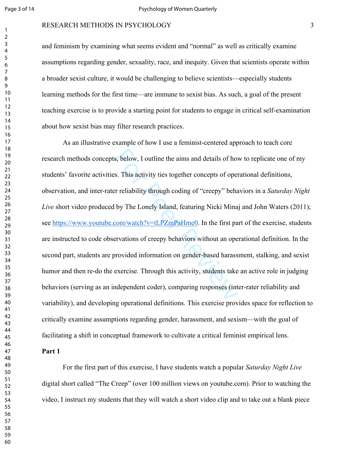$\mathbf{1}$ 

## RESEARCH METHODS IN PSYCHOLOGY

and feminism by examining what seems evident and "normal" as well as critically examine assumptions regarding gender, sexuality, race, and inequity. Given that scientists operate within a broader sexist culture, it would be challenging to believe scientists—especially students learning methods for the first time—are immune to sexist bias. As such, a goal of the present teaching exercise is to provide a starting point for students to engage in critical self-examination about how sexist bias may filter research practices.

s, below, I outline the aims and details of how<br>s. This activity ties together concepts of oper<br>r reliability through coding of "creepy" beha<br>by The Lonely Island, featuring Nicki Mina<br>com/watch?v=tLPZmPaHme0. In the first As an illustrative example of how I use a feminist-centered approach to teach core research methods concepts, below, I outline the aims and details of how to replicate one of my students' favorite activities. This activity ties together concepts of operational definitions, observation, and inter-rater reliability through coding of "creepy" behaviors in a *Saturday Night Live* short video produced by The Lonely Island, featuring Nicki Minaj and John Waters (2011); see https://www.youtube.com/watch?v=tLPZmPaHme0. In the first part of the exercise, students are instructed to code observations of creepy behaviors without an operational definition. In the second part, students are provided information on gender-based harassment, stalking, and sexist humor and then re-do the exercise. Through this activity, students take an active role in judging behaviors (serving as an independent coder), comparing responses (inter-rater reliability and variability), and developing operational definitions. This exercise provides space for reflection to critically examine assumptions regarding gender, harassment, and sexism—with the goal of facilitating a shift in conceptual framework to cultivate a critical feminist empirical lens.

#### **Part 1**

For the first part of this exercise, I have students watch a popular *Saturday Night Live* digital short called "The Creep" (over 100 million views on youtube.com). Prior to watching the video, I instruct my students that they will watch a short video clip and to take out a blank piece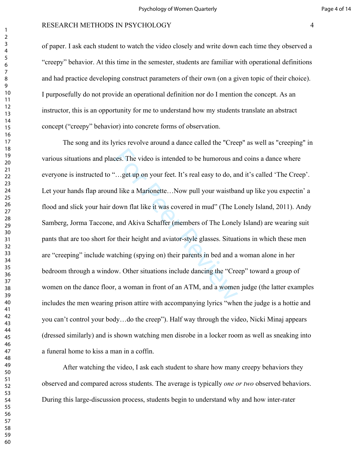of paper. I ask each student to watch the video closely and write down each time they observed a "creepy" behavior. At this time in the semester, students are familiar with operational definitions and had practice developing construct parameters of their own (on a given topic of their choice). I purposefully do not provide an operational definition nor do I mention the concept. As an instructor, this is an opportunity for me to understand how my students translate an abstract concept ("creepy" behavior) into concrete forms of observation.

ces. The video is intended to be humorous an<br>
"...get up on your feet. It's real easy to do, ar<br>
d like a Marionette...Now pull your waistban<br>
lown flat like it was covered in mud" (The L<br>
and Akiva Schaffer (members of Th The song and its lyrics revolve around a dance called the "Creep" as well as "creeping" in various situations and places. The video is intended to be humorous and coins a dance where everyone is instructed to "…get up on your feet. It's real easy to do, and it's called 'The Creep'. Let your hands flap around like a Marionette...Now pull your waistband up like you expectin' a flood and slick your hair down flat like it was covered in mud" (The Lonely Island, 2011). Andy Samberg, Jorma Taccone, and Akiva Schaffer (members of The Lonely Island) are wearing suit pants that are too short for their height and aviator-style glasses. Situations in which these men are "creeping" include watching (spying on) their parents in bed and a woman alone in her bedroom through a window. Other situations include dancing the "Creep" toward a group of women on the dance floor, a woman in front of an ATM, and a women judge (the latter examples includes the men wearing prison attire with accompanying lyrics "when the judge is a hottie and you can't control your body…do the creep"). Half way through the video, Nicki Minaj appears (dressed similarly) and is shown watching men disrobe in a locker room as well as sneaking into a funeral home to kiss a man in a coffin.

After watching the video, I ask each student to share how many creepy behaviors they observed and compared across students. The average is typically *one or two* observed behaviors. During this large-discussion process, students begin to understand why and how inter-rater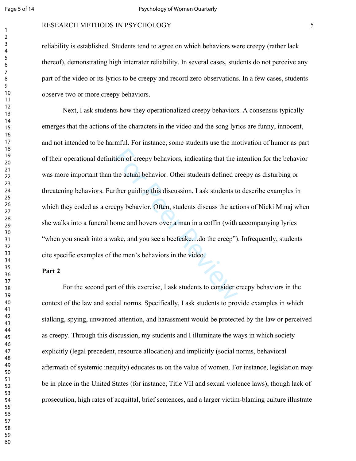#### RESEARCH METHODS IN PSYCHOLOGY

reliability is established. Students tend to agree on which behaviors were creepy (rather lack thereof), demonstrating high interrater reliability. In several cases, students do not perceive any part of the video or its lyrics to be creepy and record zero observations. In a few cases, students observe two or more creepy behaviors.

tion of creepy behaviors, indicating that the i<br>the actual behavior. Other students defined ci<br>ther guiding this discussion, I ask students to<br>epy behavior. Often, students discuss the act<br>ome and hovers over a man in a co Next, I ask students how they operationalized creepy behaviors. A consensus typically emerges that the actions of the characters in the video and the song lyrics are funny, innocent, and not intended to be harmful. For instance, some students use the motivation of humor as part of their operational definition of creepy behaviors, indicating that the intention for the behavior was more important than the actual behavior. Other students defined creepy as disturbing or threatening behaviors. Further guiding this discussion, I ask students to describe examples in which they coded as a creepy behavior. Often, students discuss the actions of Nicki Minaj when she walks into a funeral home and hovers over a man in a coffin (with accompanying lyrics "when you sneak into a wake, and you see a beefcake…do the creep"). Infrequently, students cite specific examples of the men's behaviors in the video.

#### **Part 2**

For the second part of this exercise, I ask students to consider creepy behaviors in the context of the law and social norms. Specifically, I ask students to provide examples in which stalking, spying, unwanted attention, and harassment would be protected by the law or perceived as creepy. Through this discussion, my students and I illuminate the ways in which society explicitly (legal precedent, resource allocation) and implicitly (social norms, behavioral aftermath of systemic inequity) educates us on the value of women. For instance, legislation may be in place in the United States (for instance, Title VII and sexual violence laws), though lack of prosecution, high rates of acquittal, brief sentences, and a larger victim-blaming culture illustrate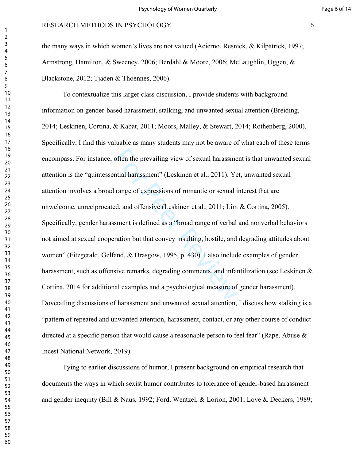the many ways in which women's lives are not valued (Acierno, Resnick, & Kilpatrick, 1997; Armstrong, Hamilton, & Sweeney, 2006; Berdahl & Moore, 2006; McLaughlin, Uggen, & Blackstone, 2012; Tjaden & Thoennes, 2006).

often the prevailing view of sexual harassmential harassment" (Leskinen et al., 2011). Ye<br>range of expressions of romantic or sexual is<br>ed, and offensive (Leskinen et al., 2011; Lim<br>sment is defined as a "broad range of ve To contextualize this larger class discussion, I provide students with background information on gender-based harassment, stalking, and unwanted sexual attention (Breiding, 2014; Leskinen, Cortina, & Kabat, 2011; Moors, Malley, & Stewart, 2014; Rothenberg, 2000). Specifically, I find this valuable as many students may not be aware of what each of these terms encompass. For instance, often the prevailing view of sexual harassment is that unwanted sexual attention is the "quintessential harassment" (Leskinen et al., 2011). Yet, unwanted sexual attention involves a broad range of expressions of romantic or sexual interest that are unwelcome, unreciprocated, and offensive (Leskinen et al., 2011; Lim & Cortina, 2005). Specifically, gender harassment is defined as a "broad range of verbal and nonverbal behaviors not aimed at sexual cooperation but that convey insulting, hostile, and degrading attitudes about women" (Fitzgerald, Gelfand, & Drasgow, 1995, p. 430). I also include examples of gender harassment, such as offensive remarks, degrading comments, and infantilization (see Leskinen & Cortina, 2014 for additional examples and a psychological measure of gender harassment). Dovetailing discussions of harassment and unwanted sexual attention, I discuss how stalking is a "pattern of repeated and unwanted attention, harassment, contact, or any other course of conduct directed at a specific person that would cause a reasonable person to feel fear" (Rape, Abuse & Incest National Network, 2019).

Tying to earlier discussions of humor, I present background on empirical research that documents the ways in which sexist humor contributes to tolerance of gender-based harassment and gender inequity (Bill & Naus, 1992; Ford, Wentzel, & Lorion, 2001; Love & Deckers, 1989;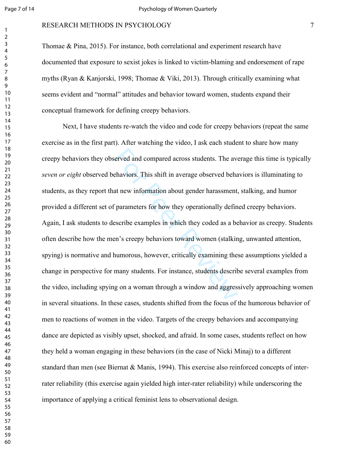## RESEARCH METHODS IN PSYCHOLOGY

Thomae & Pina, 2015). For instance, both correlational and experiment research have documented that exposure to sexist jokes is linked to victim-blaming and endorsement of rape myths (Ryan & Kanjorski, 1998; Thomae & Viki, 2013). Through critically examining what seems evident and "normal" attitudes and behavior toward women, students expand their conceptual framework for defining creepy behaviors.

erved and compared across students. The ave<br>thaviors. This shift in average observed behaviors. This shift in average observed behavior<br>at new information about gender harassment,<br>parameters for how they operationally defi Next, I have students re-watch the video and code for creepy behaviors (repeat the same exercise as in the first part). After watching the video, I ask each student to share how many creepy behaviors they observed and compared across students. The average this time is typically *seven or eight* observed behaviors. This shift in average observed behaviors is illuminating to students, as they report that new information about gender harassment, stalking, and humor provided a different set of parameters for how they operationally defined creepy behaviors. Again, I ask students to describe examples in which they coded as a behavior as creepy. Students often describe how the men's creepy behaviors toward women (stalking, unwanted attention, spying) is normative and humorous, however, critically examining these assumptions yielded a change in perspective for many students. For instance, students describe several examples from the video, including spying on a woman through a window and aggressively approaching women in several situations. In these cases, students shifted from the focus of the humorous behavior of men to reactions of women in the video. Targets of the creepy behaviors and accompanying dance are depicted as visibly upset, shocked, and afraid. In some cases, students reflect on how they held a woman engaging in these behaviors (in the case of Nicki Minaj) to a different standard than men (see Biernat & Manis, 1994). This exercise also reinforced concepts of interrater reliability (this exercise again yielded high inter-rater reliability) while underscoring the importance of applying a critical feminist lens to observational design.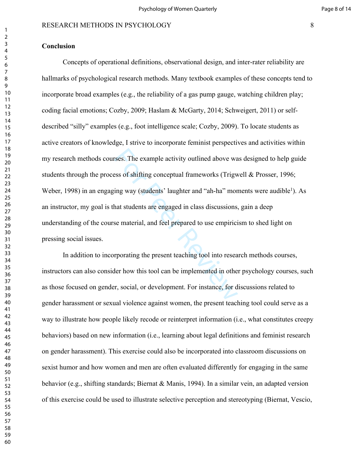## **Conclusion**

rses. The example activity outlined above wa<br>sess of shifting conceptual frameworks (Trigw<br>ing way (students' laughter and "ah-ha" mor<br>hat students are engaged in class discussions,<br>see material, and feel prepared to use e Concepts of operational definitions, observational design, and inter-rater reliability are hallmarks of psychological research methods. Many textbook examples of these concepts tend to incorporate broad examples (e.g., the reliability of a gas pump gauge, watching children play; coding facial emotions; Cozby, 2009; Haslam & McGarty, 2014; Schweigert, 2011) or selfdescribed "silly" examples (e.g., foot intelligence scale; Cozby, 2009). To locate students as active creators of knowledge, I strive to incorporate feminist perspectives and activities within my research methods courses. The example activity outlined above was designed to help guide students through the process of shifting conceptual frameworks (Trigwell & Prosser, 1996; Weber, 1998) in an engaging way (students' laughter and "ah-ha" moments were audible<sup>1</sup>). As an instructor, my goal is that students are engaged in class discussions, gain a deep understanding of the course material, and feel prepared to use empiricism to shed light on pressing social issues.

In addition to incorporating the present teaching tool into research methods courses, instructors can also consider how this tool can be implemented in other psychology courses, such as those focused on gender, social, or development. For instance, for discussions related to gender harassment or sexual violence against women, the present teaching tool could serve as a way to illustrate how people likely recode or reinterpret information (i.e., what constitutes creepy behaviors) based on new information (i.e., learning about legal definitions and feminist research on gender harassment). This exercise could also be incorporated into classroom discussions on sexist humor and how women and men are often evaluated differently for engaging in the same behavior (e.g., shifting standards; Biernat & Manis, 1994). In a similar vein, an adapted version of this exercise could be used to illustrate selective perception and stereotyping (Biernat, Vescio,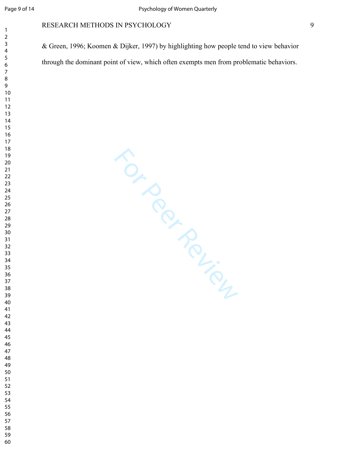& Green, 1996; Koomen & Dijker, 1997) by highlighting how people tend to view behavior through the dominant point of view, which often exempts men from problematic behaviors.

For Per Review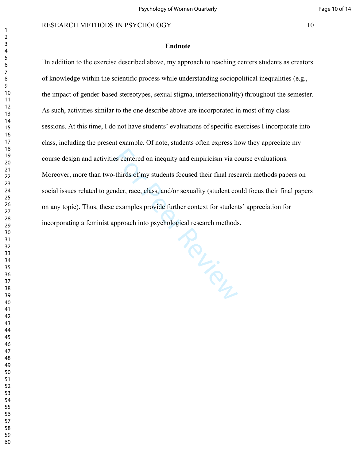#### **Endnote**

<sup>1</sup>In addition to the exercise described above, my approach to teaching centers students as creators of knowledge within the scientific process while understanding sociopolitical inequalities (e.g., the impact of gender-based stereotypes, sexual stigma, intersectionality) throughout the semester. As such, activities similar to the one describe above are incorporated in most of my class sessions. At this time, I do not have students' evaluations of specific exercises I incorporate into class, including the present example. Of note, students often express how they appreciate my course design and activities centered on inequity and empiricism via course evaluations. Moreover, more than two-thirds of my students focused their final research methods papers on social issues related to gender, race, class, and/or sexuality (student could focus their final papers on any topic). Thus, these examples provide further context for students' appreciation for incorporating a feminist approach into psychological research methods.

Rev. Per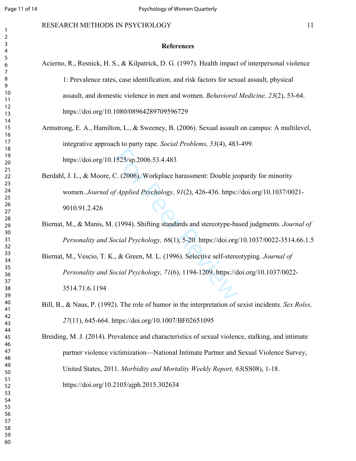#### **References**

- Acierno, R., Resnick, H. S., & Kilpatrick, D. G. (1997). Health impact of interpersonal violence 1: Prevalence rates, case identification, and risk factors for sexual assault, physical assault, and domestic violence in men and women. *Behavioral Medicine, 23*(2), 53-64. https://doi.org/10.1080/08964289709596729
- Armstrong, E. A., Hamilton, L., & Sweeney, B. (2006). Sexual assault on campus: A multilevel, integrative approach to party rape. *Social Problems, 53*(4), 483-499. https://doi.org/10.1525/sp.2006.53.4.483
- 1525/sp.2006.53.4.483<br>
C. (2006). Workplace harassment: Double jee<br>
f Applied Psychology, 91(2), 426-436. https://<br>
(1994). Shifting standards and stereotype-ba<br>
ocial Psychology, 66(1), 5-20. https://doi.org<br>
, & Green, Berdahl, J. L., & Moore, C. (2006). Workplace harassment: Double jeopardy for minority women. *Journal of Applied Psychology, 91*(2), 426-436. https://doi.org/10.1037/0021- 9010.91.2.426
- Biernat, M., & Manis, M. (1994). Shifting standards and stereotype-based judgments. *Journal of Personality and Social Psychology, 66*(1), 5-20. https://doi.org/10.1037/0022-3514.66.1.5
- Biernat, M., Vescio, T. K., & Green, M. L. (1996). Selective self-stereotyping. *Journal of Personality and Social Psychology, 71*(6), 1194-1209. https://doi.org/10.1037/0022- 3514.71.6.1194
- Bill, B., & Naus, P. (1992). The role of humor in the interpretation of sexist incidents. *Sex Roles,*  (11), 645-664. https://doi.org/10.1007/BF02651095

Breiding, M. J. (2014). Prevalence and characteristics of sexual violence, stalking, and intimate partner violence victimization—National Intimate Partner and Sexual Violence Survey, United States, 2011. *Morbidity and Mortality Weekly Report, 63*(SS08), 1-18. https://doi.org/10.2105/ajph.2015.302634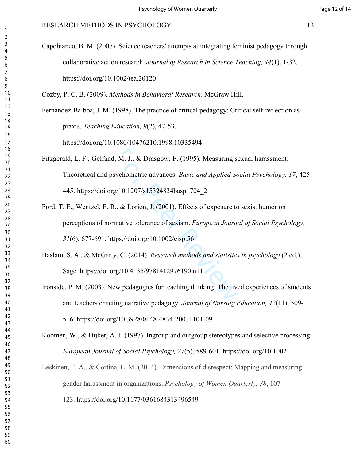Capobianco, B. M. (2007). Science teachers' attempts at integrating feminist pedagogy through collaborative action research. *Journal of Research in Science Teaching, 44*(1), 1-32. https://doi.org/10.1002/tea.20120

Cozby, P. C. B. (2009). *Methods in Behavioral Research*. McGraw Hill.

Fernández-Balboa, J. M. (1998). The practice of critical pedagogy: Critical self-reflection as praxis. *Teaching Education, 9*(2), 47-53. https://doi.org/10.1080/10476210.1998.10335494

, M. J., & Drasgow, F. (1995). Measuring so<br>sychometric advances. *Basic and Applied Sc*<br>g/10.1207/s15324834basp1704\_2<br>.., & Lorion, J. (2001). Effects of exposure to<br>mative tolerance of sexism. *European Journa*<br>tps://doi Fitzgerald, L. F., Gelfand, M. J., & Drasgow, F. (1995). Measuring sexual harassment: Theoretical and psychometric advances. *Basic and Applied Social Psychology, 17*, 425– 445. https://doi.org/10.1207/s15324834basp1704\_2

- Ford, T. E., Wentzel, E. R., & Lorion, J. (2001). Effects of exposure to sexist humor on perceptions of normative tolerance of sexism. *European Journal of Social Psychology,*  (6), 677-691. https://doi.org/10.1002/ejsp.56
- Haslam, S. A., & McGarty, C. (2014). *Research methods and statistics in psychology* (2 ed.). Sage. https://doi.org/10.4135/9781412976190.n11
- Ironside, P. M. (2003). New pedagogies for teaching thinking: The lived experiences of students and teachers enacting narrative pedagogy. *Journal of Nursing Education, 42*(11), 509- 516. https://doi.org/10.3928/0148-4834-20031101-09

Koomen, W., & Dijker, A. J. (1997). Ingroup and outgroup stereotypes and selective processing. *European Journal of Social Psychology, 27*(5), 589-601. https://doi.org/10.1002

Leskinen, E. A., & Cortina, L. M. (2014). Dimensions of disrespect: Mapping and measuring gender harassment in organizations. *Psychology of Women Quarterly, 38*, 107- 123. https://doi.org/10.1177/0361684313496549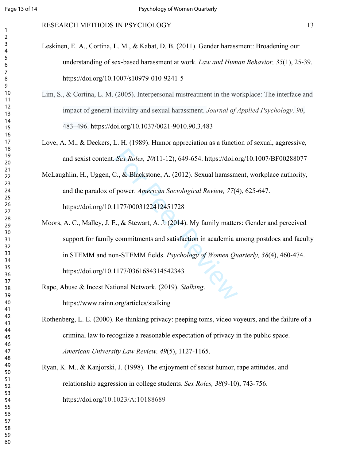#### RESEARCH METHODS IN PSYCHOLOGY 13

- Leskinen, E. A., Cortina, L. M., & Kabat, D. B. (2011). Gender harassment: Broadening our understanding of sex-based harassment at work. *Law and Human Behavior, 35*(1), 25-39. https://doi.org/10.1007/s10979-010-9241-5
- Lim, S., & Cortina, L. M. (2005). Interpersonal mistreatment in the workplace: The interface and impact of general incivility and sexual harassment. *Journal of Applied Psychology, 90*, 483–496. https://doi.org/10.1037/0021-9010.90.3.483
- Love, A. M., & Deckers, L. H. (1989). Humor appreciation as a function of sexual, aggressive, and sexist content. *Sex Roles, 20*(11-12), 649-654. https://doi.org/10.1007/BF00288077
- McLaughlin, H., Uggen, C., & Blackstone, A. (2012). Sexual harassment, workplace authority, and the paradox of power. *American Sociological Review, 77*(4), 625-647. https://doi.org/10.1177/0003122412451728
- Sex Roles, 20(11-12), 649-654. https://doi.o<br>
C., & Blackstone, A. (2012). Sexual harassme<br>
f power. American Sociological Review, 77(4<br>
1177/0003122412451728<br>
E., & Stewart, A. J. (2014). My family matter<br>
commitments and Moors, A. C., Malley, J. E., & Stewart, A. J. (2014). My family matters: Gender and perceived support for family commitments and satisfaction in academia among postdocs and faculty in STEMM and non-STEMM fields. *Psychology of Women Quarterly, 38*(4), 460-474. https://doi.org/10.1177/0361684314542343
- Rape, Abuse & Incest National Network. (2019). *Stalking*. https://www.rainn.org/articles/stalking
- Rothenberg, L. E. (2000). Re-thinking privacy: peeping toms, video voyeurs, and the failure of a criminal law to recognize a reasonable expectation of privacy in the public space. *American University Law Review, 49*(5), 1127-1165.
- Ryan, K. M., & Kanjorski, J. (1998). The enjoyment of sexist humor, rape attitudes, and relationship aggression in college students. *Sex Roles, 38*(9-10), 743-756. https://doi.org/10.1023/A:10188689